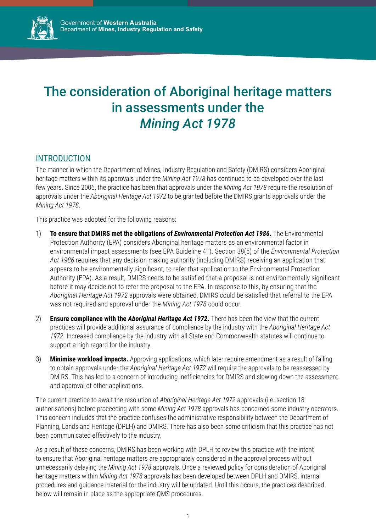

# The consideration of Aboriginal heritage matters in assessments under the *Mining Act 1978*

## INTRODUCTION

The manner in which the Department of Mines, Industry Regulation and Safety (DMIRS) considers Aboriginal heritage matters within its approvals under the *Mining Act 1978* has continued to be developed over the last few years. Since 2006, the practice has been that approvals under the *Mining Act 1978* require the resolution of approvals under the *Aboriginal Heritage Act 1972* to be granted before the DMIRS grants approvals under the *Mining Act 1978*.

This practice was adopted for the following reasons:

- 1) **To ensure that DMIRS met the obligations of** *Environmental Protection Act 1986***.** The Environmental Protection Authority (EPA) considers Aboriginal heritage matters as an environmental factor in environmental impact assessments (see EPA Guideline 41). Section 38(5) of the *Environmental Protection Act 1986* requires that any decision making authority (including DMIRS) receiving an application that appears to be environmentally significant, to refer that application to the Environmental Protection Authority (EPA). As a result, DMIRS needs to be satisfied that a proposal is not environmentally significant before it may decide not to refer the proposal to the EPA. In response to this, by ensuring that the *Aboriginal Heritage Act 1972* approvals were obtained, DMIRS could be satisfied that referral to the EPA was not required and approval under the *Mining Act 1978* could occur.
- 2) **Ensure compliance with the** *Aboriginal Heritage Act 1972***.** There has been the view that the current practices will provide additional assurance of compliance by the industry with the *Aboriginal Heritage Act 1972*. Increased compliance by the industry with all State and Commonwealth statutes will continue to support a high regard for the industry.
- 3) **Minimise workload impacts.** Approving applications, which later require amendment as a result of failing to obtain approvals under the *Aboriginal Heritage Act 1972* will require the approvals to be reassessed by DMIRS. This has led to a concern of introducing inefficiencies for DMIRS and slowing down the assessment and approval of other applications.

The current practice to await the resolution of *Aboriginal Heritage Act 1972* approvals (i.e. section 18 authorisations) before proceeding with some *Mining Act 1978* approvals has concerned some industry operators. This concern includes that the practice confuses the administrative responsibility between the Department of Planning, Lands and Heritage (DPLH) and DMIRS. There has also been some criticism that this practice has not been communicated effectively to the industry.

As a result of these concerns, DMIRS has been working with DPLH to review this practice with the intent to ensure that Aboriginal heritage matters are appropriately considered in the approval process without unnecessarily delaying the *Mining Act 1978* approvals. Once a reviewed policy for consideration of Aboriginal heritage matters within *Mining Act 1978* approvals has been developed between DPLH and DMIRS, internal procedures and guidance material for the industry will be updated. Until this occurs, the practices described below will remain in place as the appropriate QMS procedures.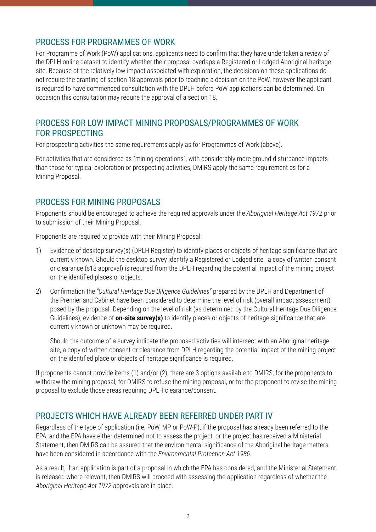# PROCESS FOR PROGRAMMES OF WORK

For Programme of Work (PoW) applications, applicants need to confirm that they have undertaken a review of the DPLH online dataset to identify whether their proposal overlaps a Registered or Lodged Aboriginal heritage site. Because of the relatively low impact associated with exploration, the decisions on these applications do not require the granting of section 18 approvals prior to reaching a decision on the PoW, however the applicant is required to have commenced consultation with the DPLH before PoW applications can be determined. On occasion this consultation may require the approval of a section 18.

#### PROCESS FOR LOW IMPACT MINING PROPOSALS/PROGRAMMES OF WORK FOR PROSPECTING

For prospecting activities the same requirements apply as for Programmes of Work (above).

For activities that are considered as "mining operations", with considerably more ground disturbance impacts than those for typical exploration or prospecting activities, DMIRS apply the same requirement as for a Mining Proposal.

#### PROCESS FOR MINING PROPOSALS

Proponents should be encouraged to achieve the required approvals under the *Aboriginal Heritage Act 1972* prior to submission of their Mining Proposal.

Proponents are required to provide with their Mining Proposal:

- 1) Evidence of desktop survey(s) (DPLH Register) to identify places or objects of heritage significance that are currently known. Should the desktop survey identify a Registered or Lodged site, a copy of written consent or clearance (s18 approval) is required from the DPLH regarding the potential impact of the mining project on the identified places or objects.
- 2) Confirmation the *"Cultural Heritage Due Diligence Guidelines"* prepared by the DPLH and Department of the Premier and Cabinet have been considered to determine the level of risk (overall impact assessment) posed by the proposal. Depending on the level of risk (as determined by the Cultural Heritage Due Diligence Guidelines), evidence of **on-site survey(s)** to identify places or objects of heritage significance that are currently known or unknown may be required.

Should the outcome of a survey indicate the proposed activities will intersect with an Aboriginal heritage site, a copy of written consent or clearance from DPLH regarding the potential impact of the mining project on the identified place or objects of heritage significance is required.

If proponents cannot provide items (1) and/or (2), there are 3 options available to DMIRS; for the proponents to withdraw the mining proposal, for DMIRS to refuse the mining proposal, or for the proponent to revise the mining proposal to exclude those areas requiring DPLH clearance/consent.

#### PROJECTS WHICH HAVE ALREADY BEEN REFERRED UNDER PART IV

Regardless of the type of application (i.e. PoW, MP or PoW-P), if the proposal has already been referred to the EPA, and the EPA have either determined not to assess the project, or the project has received a Ministerial Statement, then DMIRS can be assured that the environmental significance of the Aboriginal heritage matters have been considered in accordance with the *Environmental Protection Act 1986*.

As a result, if an application is part of a proposal in which the EPA has considered, and the Ministerial Statement is released where relevant, then DMIRS will proceed with assessing the application regardless of whether the *Aboriginal Heritage Act 1972* approvals are in place.